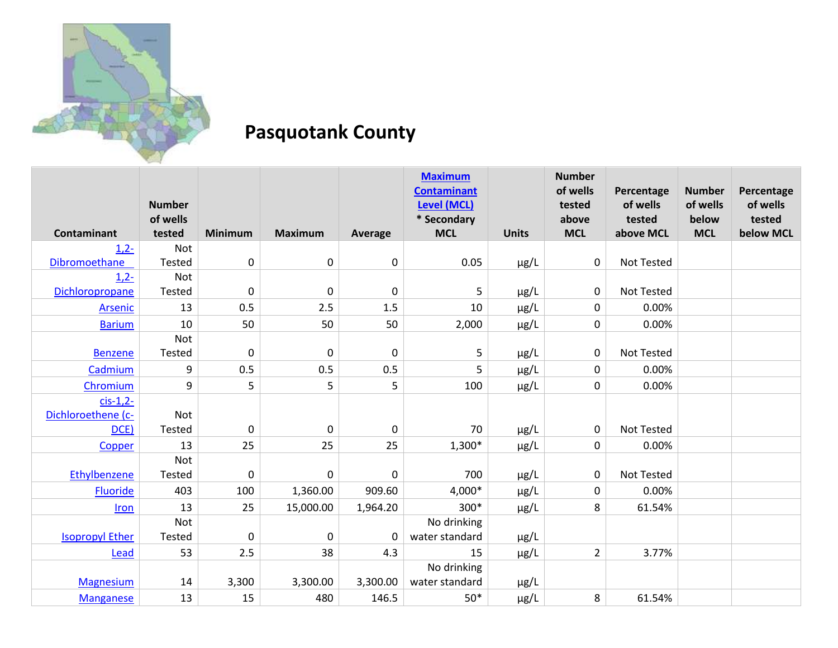

## **Pasquotank County**

|                         | <b>Number</b><br>of wells |                  |                  |             | <b>Maximum</b><br><b>Contaminant</b><br><b>Level (MCL)</b><br>* Secondary |              | <b>Number</b><br>of wells<br>tested<br>above | Percentage<br>of wells<br>tested | <b>Number</b><br>of wells<br>below | Percentage<br>of wells<br>tested |
|-------------------------|---------------------------|------------------|------------------|-------------|---------------------------------------------------------------------------|--------------|----------------------------------------------|----------------------------------|------------------------------------|----------------------------------|
| <b>Contaminant</b>      | tested                    | <b>Minimum</b>   | <b>Maximum</b>   | Average     | <b>MCL</b>                                                                | <b>Units</b> | <b>MCL</b>                                   | above MCL                        | <b>MCL</b>                         | below MCL                        |
| $1,2-$<br>Dibromoethane | Not<br>Tested             | $\pmb{0}$        | $\boldsymbol{0}$ | $\pmb{0}$   | 0.05                                                                      | $\mu$ g/L    | 0                                            | Not Tested                       |                                    |                                  |
| $1,2-$                  | Not                       |                  |                  |             |                                                                           |              |                                              |                                  |                                    |                                  |
| Dichloropropane         | <b>Tested</b>             | $\mathbf 0$      | $\mathbf 0$      | $\mathbf 0$ | 5                                                                         | $\mu$ g/L    | 0                                            | <b>Not Tested</b>                |                                    |                                  |
| Arsenic                 | 13                        | 0.5              | 2.5              | 1.5         | 10                                                                        | µg/L         | $\pmb{0}$                                    | 0.00%                            |                                    |                                  |
| <b>Barium</b>           | 10                        | 50               | 50               | 50          | 2,000                                                                     | $\mu$ g/L    | 0                                            | 0.00%                            |                                    |                                  |
|                         | Not                       |                  |                  |             |                                                                           |              |                                              |                                  |                                    |                                  |
| <b>Benzene</b>          | Tested                    | $\mathbf 0$      | $\pmb{0}$        | $\pmb{0}$   | 5                                                                         | µg/L         | 0                                            | Not Tested                       |                                    |                                  |
| Cadmium                 | 9                         | 0.5              | 0.5              | 0.5         | 5                                                                         | µg/L         | $\mathbf 0$                                  | 0.00%                            |                                    |                                  |
| Chromium                | 9                         | 5                | 5                | 5           | 100                                                                       | $\mu$ g/L    | 0                                            | 0.00%                            |                                    |                                  |
| $cis-1,2$               |                           |                  |                  |             |                                                                           |              |                                              |                                  |                                    |                                  |
| Dichloroethene (c-      | <b>Not</b>                |                  |                  |             |                                                                           |              |                                              |                                  |                                    |                                  |
| DCE)                    | Tested                    | $\boldsymbol{0}$ | 0                | $\mathbf 0$ | 70                                                                        | µg/L         | 0                                            | Not Tested                       |                                    |                                  |
| Copper                  | 13                        | 25               | 25               | 25          | 1,300*                                                                    | $\mu$ g/L    | 0                                            | 0.00%                            |                                    |                                  |
|                         | Not                       |                  |                  |             |                                                                           |              |                                              |                                  |                                    |                                  |
| Ethylbenzene            | Tested                    | $\mathbf 0$      | $\mathbf 0$      | $\mathbf 0$ | 700                                                                       | µg/L         | 0                                            | Not Tested                       |                                    |                                  |
| Fluoride                | 403                       | 100              | 1,360.00         | 909.60      | $4,000*$                                                                  | $\mu$ g/L    | 0                                            | 0.00%                            |                                    |                                  |
| Iron                    | 13                        | 25               | 15,000.00        | 1,964.20    | 300*                                                                      | $\mu$ g/L    | 8                                            | 61.54%                           |                                    |                                  |
|                         | Not                       |                  |                  |             | No drinking                                                               |              |                                              |                                  |                                    |                                  |
| <b>Isopropyl Ether</b>  | Tested                    | $\mathbf 0$      | 0                | $\mathbf 0$ | water standard                                                            | µg/L         |                                              |                                  |                                    |                                  |
| Lead                    | 53                        | 2.5              | 38               | 4.3         | 15                                                                        | $\mu$ g/L    | $\overline{2}$                               | 3.77%                            |                                    |                                  |
|                         |                           |                  |                  |             | No drinking                                                               |              |                                              |                                  |                                    |                                  |
| <b>Magnesium</b>        | 14                        | 3,300            | 3,300.00         | 3,300.00    | water standard                                                            | $\mu$ g/L    |                                              |                                  |                                    |                                  |
| <b>Manganese</b>        | 13                        | 15               | 480              | 146.5       | $50*$                                                                     | $\mu$ g/L    | 8                                            | 61.54%                           |                                    |                                  |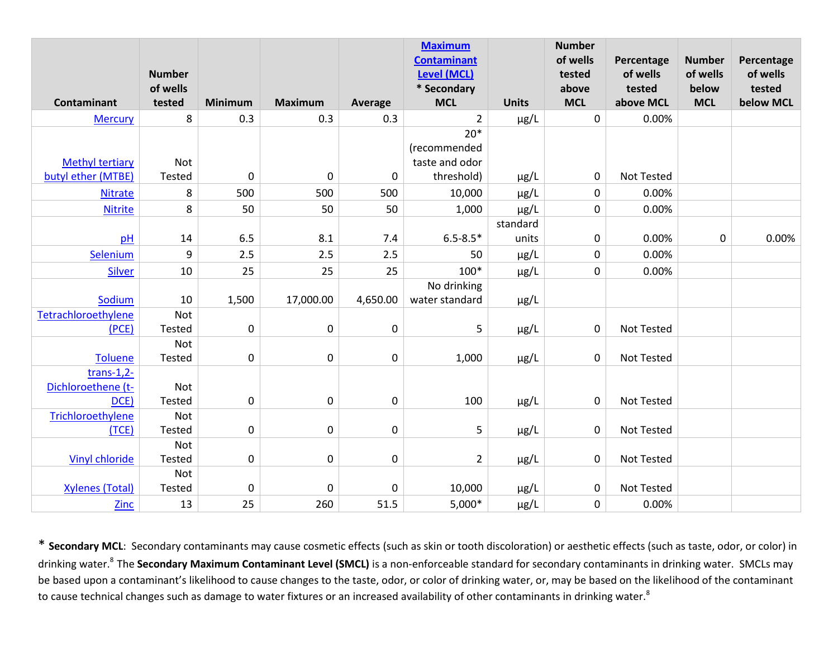|                        | <b>Number</b> |                |                  |             | <b>Maximum</b><br><b>Contaminant</b><br><b>Level (MCL)</b> |                       | <b>Number</b><br>of wells<br>tested | Percentage<br>of wells | <b>Number</b><br>of wells | Percentage<br>of wells |
|------------------------|---------------|----------------|------------------|-------------|------------------------------------------------------------|-----------------------|-------------------------------------|------------------------|---------------------------|------------------------|
| <b>Contaminant</b>     | of wells      |                | <b>Maximum</b>   |             | * Secondary<br><b>MCL</b>                                  | <b>Units</b>          | above<br><b>MCL</b>                 | tested<br>above MCL    | below<br><b>MCL</b>       | tested<br>below MCL    |
|                        | tested        | <b>Minimum</b> |                  | Average     |                                                            |                       |                                     |                        |                           |                        |
| <b>Mercury</b>         | 8             | 0.3            | 0.3              | 0.3         | $\overline{2}$                                             | $\mu$ g/L             | $\mathbf 0$                         | 0.00%                  |                           |                        |
|                        |               |                |                  |             | $20*$                                                      |                       |                                     |                        |                           |                        |
| <b>Methyl tertiary</b> | Not           |                |                  |             | (recommended<br>taste and odor                             |                       |                                     |                        |                           |                        |
| butyl ether (MTBE)     | <b>Tested</b> | $\mathbf 0$    | $\pmb{0}$        | $\mathbf 0$ | threshold)                                                 | $\mu$ g/L             | $\pmb{0}$                           | Not Tested             |                           |                        |
| <b>Nitrate</b>         | 8             | 500            | 500              | 500         | 10,000                                                     | $\mu$ g/L             | $\mathbf 0$                         | 0.00%                  |                           |                        |
|                        | 8             | 50             | 50               | 50          |                                                            |                       | 0                                   | 0.00%                  |                           |                        |
| <b>Nitrite</b>         |               |                |                  |             | 1,000                                                      | $\mu$ g/L<br>standard |                                     |                        |                           |                        |
| pH                     | 14            | 6.5            | 8.1              | 7.4         | $6.5 - 8.5*$                                               | units                 | $\pmb{0}$                           | 0.00%                  | $\pmb{0}$                 | 0.00%                  |
| Selenium               | 9             | 2.5            | 2.5              | 2.5         | 50                                                         | $\mu$ g/L             | $\pmb{0}$                           | 0.00%                  |                           |                        |
|                        | 10            | 25             | 25               | 25          | $100*$                                                     |                       | $\mathbf 0$                         | 0.00%                  |                           |                        |
| Silver                 |               |                |                  |             | No drinking                                                | $\mu$ g/L             |                                     |                        |                           |                        |
| Sodium                 | 10            | 1,500          | 17,000.00        | 4,650.00    | water standard                                             | $\mu$ g/L             |                                     |                        |                           |                        |
| Tetrachloroethylene    | Not           |                |                  |             |                                                            |                       |                                     |                        |                           |                        |
| (PCE)                  | Tested        | $\pmb{0}$      | $\pmb{0}$        | $\pmb{0}$   | 5                                                          | $\mu$ g/L             | 0                                   | Not Tested             |                           |                        |
|                        | Not           |                |                  |             |                                                            |                       |                                     |                        |                           |                        |
| <b>Toluene</b>         | Tested        | $\mathbf 0$    | $\boldsymbol{0}$ | $\mathbf 0$ | 1,000                                                      | $\mu$ g/L             | 0                                   | Not Tested             |                           |                        |
| $trans-1,2-$           |               |                |                  |             |                                                            |                       |                                     |                        |                           |                        |
| Dichloroethene (t-     | Not           |                |                  |             |                                                            |                       |                                     |                        |                           |                        |
| DCE)                   | <b>Tested</b> | $\mathbf 0$    | $\mathbf 0$      | $\mathbf 0$ | 100                                                        | $\mu$ g/L             | 0                                   | Not Tested             |                           |                        |
| Trichloroethylene      | Not           |                |                  |             |                                                            |                       |                                     |                        |                           |                        |
| (TCE)                  | Tested        | $\mathbf 0$    | $\pmb{0}$        | $\pmb{0}$   | 5                                                          | $\mu$ g/L             | 0                                   | Not Tested             |                           |                        |
|                        | Not           |                |                  |             |                                                            |                       |                                     |                        |                           |                        |
| <b>Vinyl chloride</b>  | Tested        | $\mathbf 0$    | $\pmb{0}$        | $\mathbf 0$ | $\overline{2}$                                             | $\mu$ g/L             | 0                                   | Not Tested             |                           |                        |
|                        | Not           |                |                  |             |                                                            |                       |                                     |                        |                           |                        |
| <b>Xylenes (Total)</b> | Tested        | 0              | $\pmb{0}$        | $\mathbf 0$ | 10,000                                                     | $\mu$ g/L             | 0                                   | Not Tested             |                           |                        |
| <b>Zinc</b>            | 13            | 25             | 260              | 51.5        | $5,000*$                                                   | $\mu$ g/L             | $\mathbf 0$                         | 0.00%                  |                           |                        |

\* **Secondary MCL**: Secondary contaminants may cause cosmetic effects (such as skin or tooth discoloration) or aesthetic effects (such as taste, odor, or color) in drinking water.<sup>8</sup>The **Secondary Maximum Contaminant Level (SMCL)** is a non-enforceable standard for secondary contaminants in drinking water. SMCLs may be based upon a contaminant's likelihood to cause changes to the taste, odor, or color of drinking water, or, may be based on the likelihood of the contaminant to cause technical changes such as damage to water fixtures or an increased availability of other contaminants in drinking water.<sup>8</sup>